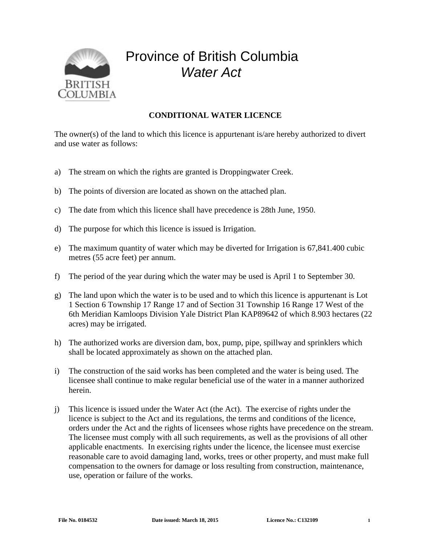

## Province of British Columbia *Water Act*

## **CONDITIONAL WATER LICENCE**

The owner(s) of the land to which this licence is appurtenant is/are hereby authorized to divert and use water as follows:

- a) The stream on which the rights are granted is Droppingwater Creek.
- b) The points of diversion are located as shown on the attached plan.
- c) The date from which this licence shall have precedence is 28th June, 1950.
- d) The purpose for which this licence is issued is Irrigation.
- e) The maximum quantity of water which may be diverted for Irrigation is 67,841.400 cubic metres (55 acre feet) per annum.
- f) The period of the year during which the water may be used is April 1 to September 30.
- g) The land upon which the water is to be used and to which this licence is appurtenant is Lot 1 Section 6 Township 17 Range 17 and of Section 31 Township 16 Range 17 West of the 6th Meridian Kamloops Division Yale District Plan KAP89642 of which 8.903 hectares (22 acres) may be irrigated.
- h) The authorized works are diversion dam, box, pump, pipe, spillway and sprinklers which shall be located approximately as shown on the attached plan.
- i) The construction of the said works has been completed and the water is being used. The licensee shall continue to make regular beneficial use of the water in a manner authorized herein.
- j) This licence is issued under the Water Act (the Act). The exercise of rights under the licence is subject to the Act and its regulations, the terms and conditions of the licence, orders under the Act and the rights of licensees whose rights have precedence on the stream. The licensee must comply with all such requirements, as well as the provisions of all other applicable enactments. In exercising rights under the licence, the licensee must exercise reasonable care to avoid damaging land, works, trees or other property, and must make full compensation to the owners for damage or loss resulting from construction, maintenance, use, operation or failure of the works.